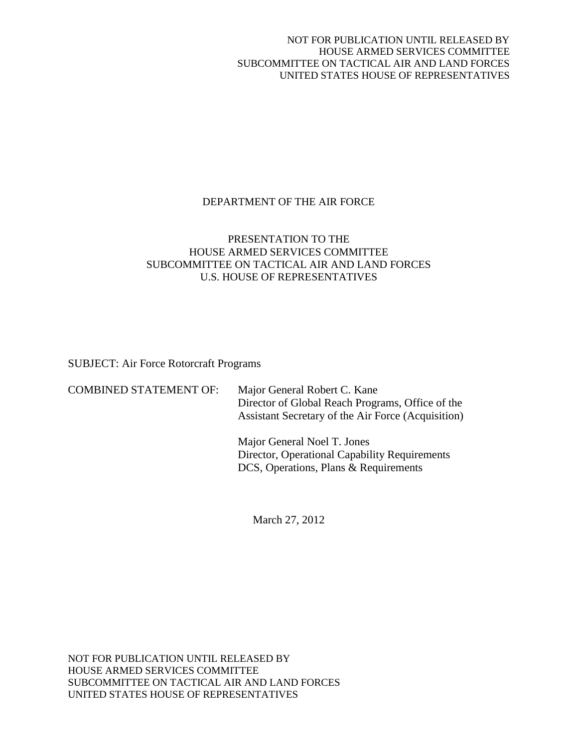## NOT FOR PUBLICATION UNTIL RELEASED BY HOUSE ARMED SERVICES COMMITTEE SUBCOMMITTEE ON TACTICAL AIR AND LAND FORCES UNITED STATES HOUSE OF REPRESENTATIVES

# DEPARTMENT OF THE AIR FORCE

# PRESENTATION TO THE HOUSE ARMED SERVICES COMMITTEE SUBCOMMITTEE ON TACTICAL AIR AND LAND FORCES U.S. HOUSE OF REPRESENTATIVES

SUBJECT: Air Force Rotorcraft Programs

| <b>COMBINED STATEMENT OF:</b> | Major General Robert C. Kane<br>Director of Global Reach Programs, Office of the<br>Assistant Secretary of the Air Force (Acquisition) |
|-------------------------------|----------------------------------------------------------------------------------------------------------------------------------------|
|                               |                                                                                                                                        |

Major General Noel T. Jones Director, Operational Capability Requirements DCS, Operations, Plans & Requirements

March 27, 2012

NOT FOR PUBLICATION UNTIL RELEASED BY HOUSE ARMED SERVICES COMMITTEE SUBCOMMITTEE ON TACTICAL AIR AND LAND FORCES UNITED STATES HOUSE OF REPRESENTATIVES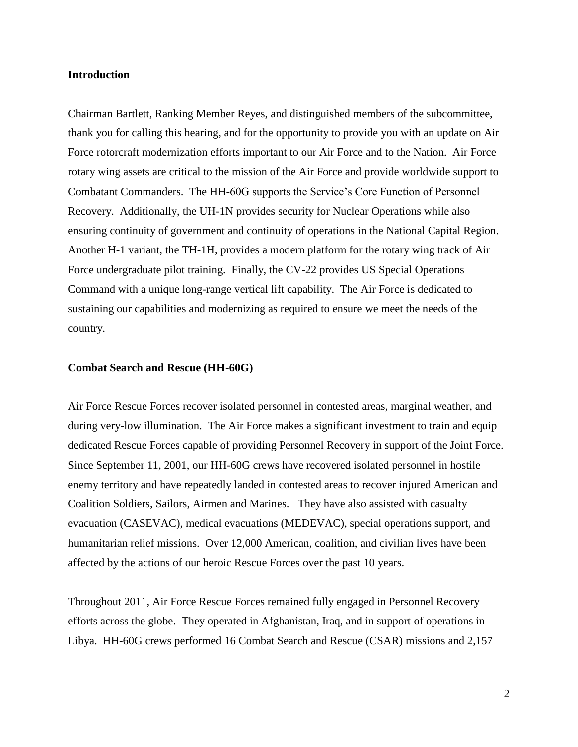## **Introduction**

Chairman Bartlett, Ranking Member Reyes, and distinguished members of the subcommittee, thank you for calling this hearing, and for the opportunity to provide you with an update on Air Force rotorcraft modernization efforts important to our Air Force and to the Nation. Air Force rotary wing assets are critical to the mission of the Air Force and provide worldwide support to Combatant Commanders. The HH-60G supports the Service's Core Function of Personnel Recovery. Additionally, the UH-1N provides security for Nuclear Operations while also ensuring continuity of government and continuity of operations in the National Capital Region. Another H-1 variant, the TH-1H, provides a modern platform for the rotary wing track of Air Force undergraduate pilot training. Finally, the CV-22 provides US Special Operations Command with a unique long-range vertical lift capability. The Air Force is dedicated to sustaining our capabilities and modernizing as required to ensure we meet the needs of the country.

### **Combat Search and Rescue (HH-60G)**

Air Force Rescue Forces recover isolated personnel in contested areas, marginal weather, and during very-low illumination. The Air Force makes a significant investment to train and equip dedicated Rescue Forces capable of providing Personnel Recovery in support of the Joint Force. Since September 11, 2001, our HH-60G crews have recovered isolated personnel in hostile enemy territory and have repeatedly landed in contested areas to recover injured American and Coalition Soldiers, Sailors, Airmen and Marines. They have also assisted with casualty evacuation (CASEVAC), medical evacuations (MEDEVAC), special operations support, and humanitarian relief missions. Over 12,000 American, coalition, and civilian lives have been affected by the actions of our heroic Rescue Forces over the past 10 years.

Throughout 2011, Air Force Rescue Forces remained fully engaged in Personnel Recovery efforts across the globe. They operated in Afghanistan, Iraq, and in support of operations in Libya. HH-60G crews performed 16 Combat Search and Rescue (CSAR) missions and 2,157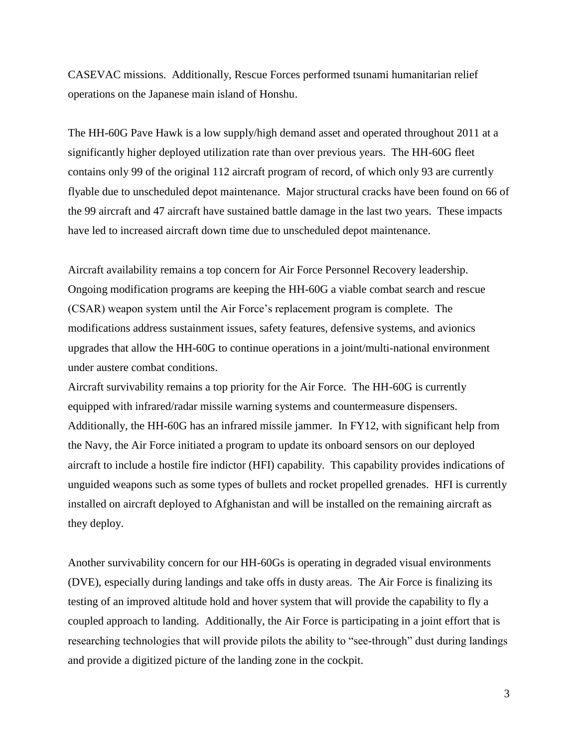CASEVAC missions. Additionally, Rescue Forces performed tsunami humanitarian relief operations on the Japanese main island of Honshu.

The HH-60G Pave Hawk is a low supply/high demand asset and operated throughout 2011 at a significantly higher deployed utilization rate than over previous years. The HH-60G fleet contains only 99 of the original 112 aircraft program of record, of which only 93 are currently flyable due to unscheduled depot maintenance. Major structural cracks have been found on 66 of the 99 aircraft and 47 aircraft have sustained battle damage in the last two years. These impacts have led to increased aircraft down time due to unscheduled depot maintenance.

Aircraft availability remains a top concern for Air Force Personnel Recovery leadership. Ongoing modification programs are keeping the HH-60G a viable combat search and rescue (CSAR) weapon system until the Air Force's replacement program is complete. The modifications address sustainment issues, safety features, defensive systems, and avionics upgrades that allow the HH-60G to continue operations in a joint/multi-national environment under austere combat conditions.

Aircraft survivability remains a top priority for the Air Force. The HH-60G is currently equipped with infrared/radar missile warning systems and countermeasure dispensers. Additionally, the HH-60G has an infrared missile jammer. In FY12, with significant help from the Navy, the Air Force initiated a program to update its onboard sensors on our deployed aircraft to include a hostile fire indictor (HFI) capability. This capability provides indications of unguided weapons such as some types of bullets and rocket propelled grenades. HFI is currently installed on aircraft deployed to Afghanistan and will be installed on the remaining aircraft as they deploy.

Another survivability concern for our HH-60Gs is operating in degraded visual environments (DVE), especially during landings and take offs in dusty areas. The Air Force is finalizing its testing of an improved altitude hold and hover system that will provide the capability to fly a coupled approach to landing. Additionally, the Air Force is participating in a joint effort that is researching technologies that will provide pilots the ability to "see-through" dust during landings and provide a digitized picture of the landing zone in the cockpit.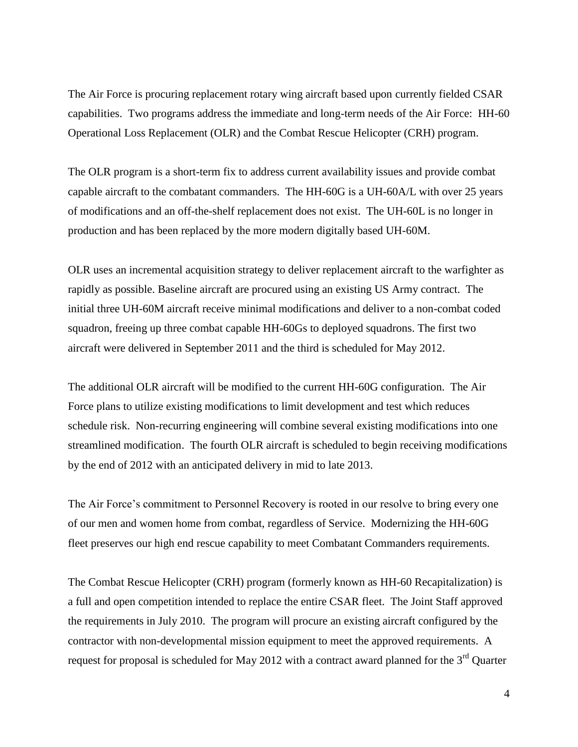The Air Force is procuring replacement rotary wing aircraft based upon currently fielded CSAR capabilities. Two programs address the immediate and long-term needs of the Air Force: HH-60 Operational Loss Replacement (OLR) and the Combat Rescue Helicopter (CRH) program.

The OLR program is a short-term fix to address current availability issues and provide combat capable aircraft to the combatant commanders. The HH-60G is a UH-60A/L with over 25 years of modifications and an off-the-shelf replacement does not exist. The UH-60L is no longer in production and has been replaced by the more modern digitally based UH-60M.

OLR uses an incremental acquisition strategy to deliver replacement aircraft to the warfighter as rapidly as possible. Baseline aircraft are procured using an existing US Army contract. The initial three UH-60M aircraft receive minimal modifications and deliver to a non-combat coded squadron, freeing up three combat capable HH-60Gs to deployed squadrons. The first two aircraft were delivered in September 2011 and the third is scheduled for May 2012.

The additional OLR aircraft will be modified to the current HH-60G configuration. The Air Force plans to utilize existing modifications to limit development and test which reduces schedule risk. Non-recurring engineering will combine several existing modifications into one streamlined modification. The fourth OLR aircraft is scheduled to begin receiving modifications by the end of 2012 with an anticipated delivery in mid to late 2013.

The Air Force's commitment to Personnel Recovery is rooted in our resolve to bring every one of our men and women home from combat, regardless of Service. Modernizing the HH-60G fleet preserves our high end rescue capability to meet Combatant Commanders requirements.

The Combat Rescue Helicopter (CRH) program (formerly known as HH-60 Recapitalization) is a full and open competition intended to replace the entire CSAR fleet. The Joint Staff approved the requirements in July 2010. The program will procure an existing aircraft configured by the contractor with non-developmental mission equipment to meet the approved requirements. A request for proposal is scheduled for May 2012 with a contract award planned for the 3<sup>rd</sup> Quarter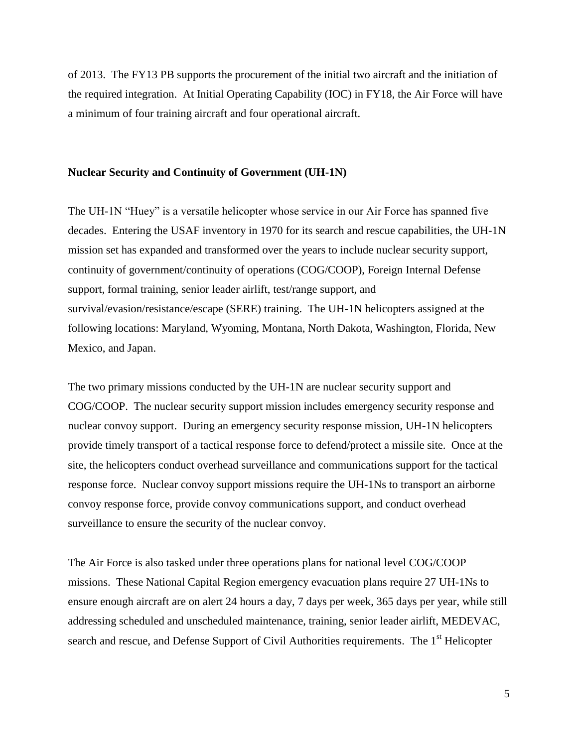of 2013. The FY13 PB supports the procurement of the initial two aircraft and the initiation of the required integration. At Initial Operating Capability (IOC) in FY18, the Air Force will have a minimum of four training aircraft and four operational aircraft.

## **Nuclear Security and Continuity of Government (UH-1N)**

The UH-1N "Huey" is a versatile helicopter whose service in our Air Force has spanned five decades. Entering the USAF inventory in 1970 for its search and rescue capabilities, the UH-1N mission set has expanded and transformed over the years to include nuclear security support, continuity of government/continuity of operations (COG/COOP), Foreign Internal Defense support, formal training, senior leader airlift, test/range support, and survival/evasion/resistance/escape (SERE) training. The UH-1N helicopters assigned at the following locations: Maryland, Wyoming, Montana, North Dakota, Washington, Florida, New Mexico, and Japan.

The two primary missions conducted by the UH-1N are nuclear security support and COG/COOP. The nuclear security support mission includes emergency security response and nuclear convoy support. During an emergency security response mission, UH-1N helicopters provide timely transport of a tactical response force to defend/protect a missile site. Once at the site, the helicopters conduct overhead surveillance and communications support for the tactical response force. Nuclear convoy support missions require the UH-1Ns to transport an airborne convoy response force, provide convoy communications support, and conduct overhead surveillance to ensure the security of the nuclear convoy.

The Air Force is also tasked under three operations plans for national level COG/COOP missions. These National Capital Region emergency evacuation plans require 27 UH-1Ns to ensure enough aircraft are on alert 24 hours a day, 7 days per week, 365 days per year, while still addressing scheduled and unscheduled maintenance, training, senior leader airlift, MEDEVAC, search and rescue, and Defense Support of Civil Authorities requirements. The 1<sup>st</sup> Helicopter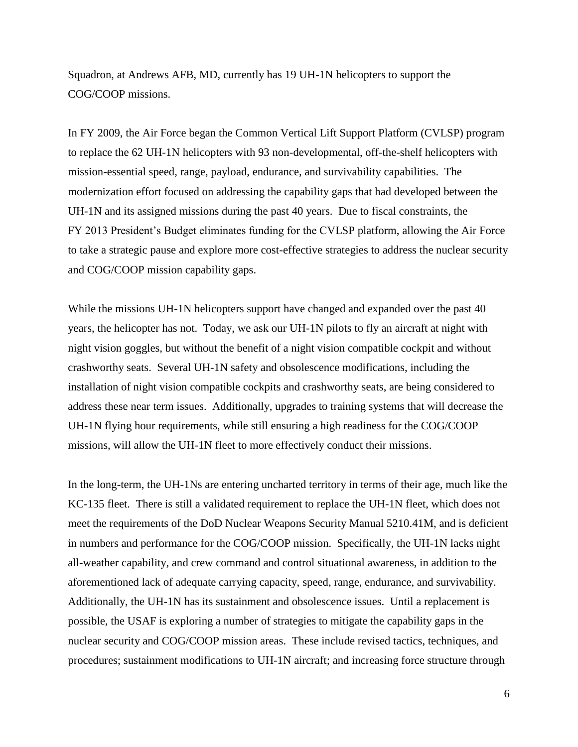Squadron, at Andrews AFB, MD, currently has 19 UH-1N helicopters to support the COG/COOP missions.

In FY 2009, the Air Force began the Common Vertical Lift Support Platform (CVLSP) program to replace the 62 UH-1N helicopters with 93 non-developmental, off-the-shelf helicopters with mission-essential speed, range, payload, endurance, and survivability capabilities. The modernization effort focused on addressing the capability gaps that had developed between the UH-1N and its assigned missions during the past 40 years. Due to fiscal constraints, the FY 2013 President's Budget eliminates funding for the CVLSP platform, allowing the Air Force to take a strategic pause and explore more cost-effective strategies to address the nuclear security and COG/COOP mission capability gaps.

While the missions UH-1N helicopters support have changed and expanded over the past 40 years, the helicopter has not. Today, we ask our UH-1N pilots to fly an aircraft at night with night vision goggles, but without the benefit of a night vision compatible cockpit and without crashworthy seats. Several UH-1N safety and obsolescence modifications, including the installation of night vision compatible cockpits and crashworthy seats, are being considered to address these near term issues. Additionally, upgrades to training systems that will decrease the UH-1N flying hour requirements, while still ensuring a high readiness for the COG/COOP missions, will allow the UH-1N fleet to more effectively conduct their missions.

In the long-term, the UH-1Ns are entering uncharted territory in terms of their age, much like the KC-135 fleet. There is still a validated requirement to replace the UH-1N fleet, which does not meet the requirements of the DoD Nuclear Weapons Security Manual 5210.41M, and is deficient in numbers and performance for the COG/COOP mission. Specifically, the UH-1N lacks night all-weather capability, and crew command and control situational awareness, in addition to the aforementioned lack of adequate carrying capacity, speed, range, endurance, and survivability. Additionally, the UH-1N has its sustainment and obsolescence issues. Until a replacement is possible, the USAF is exploring a number of strategies to mitigate the capability gaps in the nuclear security and COG/COOP mission areas. These include revised tactics, techniques, and procedures; sustainment modifications to UH-1N aircraft; and increasing force structure through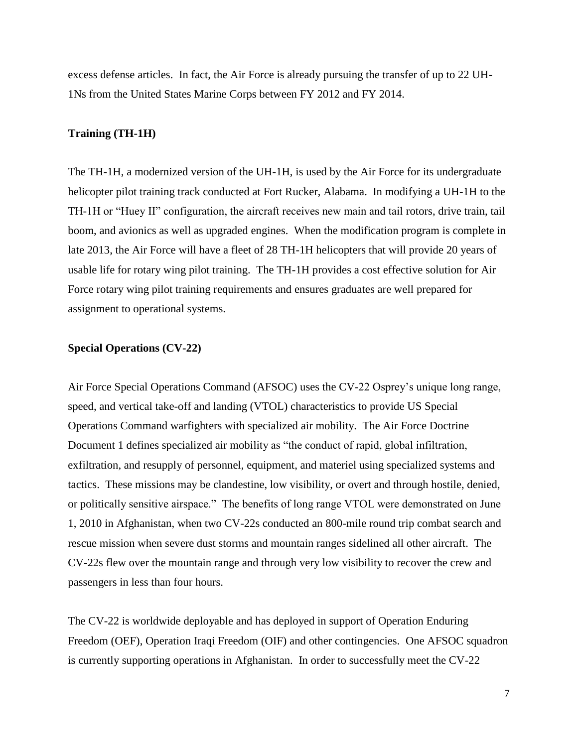excess defense articles. In fact, the Air Force is already pursuing the transfer of up to 22 UH-1Ns from the United States Marine Corps between FY 2012 and FY 2014.

## **Training (TH-1H)**

The TH-1H, a modernized version of the UH-1H, is used by the Air Force for its undergraduate helicopter pilot training track conducted at Fort Rucker, Alabama. In modifying a UH-1H to the TH-1H or "Huey II" configuration, the aircraft receives new main and tail rotors, drive train, tail boom, and avionics as well as upgraded engines. When the modification program is complete in late 2013, the Air Force will have a fleet of 28 TH-1H helicopters that will provide 20 years of usable life for rotary wing pilot training. The TH-1H provides a cost effective solution for Air Force rotary wing pilot training requirements and ensures graduates are well prepared for assignment to operational systems.

### **Special Operations (CV-22)**

Air Force Special Operations Command (AFSOC) uses the CV-22 Osprey's unique long range, speed, and vertical take-off and landing (VTOL) characteristics to provide US Special Operations Command warfighters with specialized air mobility. The Air Force Doctrine Document 1 defines specialized air mobility as "the conduct of rapid, global infiltration, exfiltration, and resupply of personnel, equipment, and materiel using specialized systems and tactics. These missions may be clandestine, low visibility, or overt and through hostile, denied, or politically sensitive airspace." The benefits of long range VTOL were demonstrated on June 1, 2010 in Afghanistan, when two CV-22s conducted an 800-mile round trip combat search and rescue mission when severe dust storms and mountain ranges sidelined all other aircraft. The CV-22s flew over the mountain range and through very low visibility to recover the crew and passengers in less than four hours.

The CV-22 is worldwide deployable and has deployed in support of Operation Enduring Freedom (OEF), Operation Iraqi Freedom (OIF) and other contingencies. One AFSOC squadron is currently supporting operations in Afghanistan. In order to successfully meet the CV-22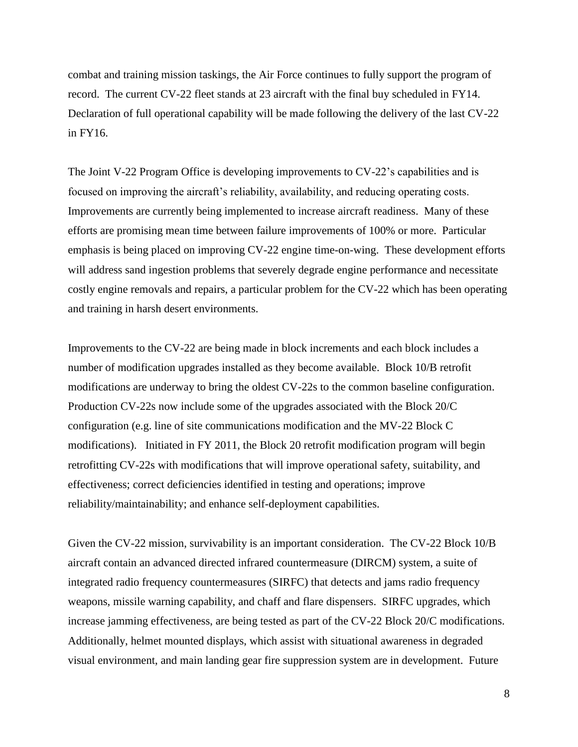combat and training mission taskings, the Air Force continues to fully support the program of record. The current CV-22 fleet stands at 23 aircraft with the final buy scheduled in FY14. Declaration of full operational capability will be made following the delivery of the last CV-22 in FY16.

The Joint V-22 Program Office is developing improvements to CV-22's capabilities and is focused on improving the aircraft's reliability, availability, and reducing operating costs. Improvements are currently being implemented to increase aircraft readiness. Many of these efforts are promising mean time between failure improvements of 100% or more. Particular emphasis is being placed on improving CV-22 engine time-on-wing. These development efforts will address sand ingestion problems that severely degrade engine performance and necessitate costly engine removals and repairs, a particular problem for the CV-22 which has been operating and training in harsh desert environments.

Improvements to the CV-22 are being made in block increments and each block includes a number of modification upgrades installed as they become available. Block 10/B retrofit modifications are underway to bring the oldest CV-22s to the common baseline configuration. Production CV-22s now include some of the upgrades associated with the Block 20/C configuration (e.g. line of site communications modification and the MV-22 Block C modifications). Initiated in FY 2011, the Block 20 retrofit modification program will begin retrofitting CV-22s with modifications that will improve operational safety, suitability, and effectiveness; correct deficiencies identified in testing and operations; improve reliability/maintainability; and enhance self-deployment capabilities.

Given the CV-22 mission, survivability is an important consideration. The CV-22 Block 10/B aircraft contain an advanced directed infrared countermeasure (DIRCM) system, a suite of integrated radio frequency countermeasures (SIRFC) that detects and jams radio frequency weapons, missile warning capability, and chaff and flare dispensers. SIRFC upgrades, which increase jamming effectiveness, are being tested as part of the CV-22 Block 20/C modifications. Additionally, helmet mounted displays, which assist with situational awareness in degraded visual environment, and main landing gear fire suppression system are in development. Future